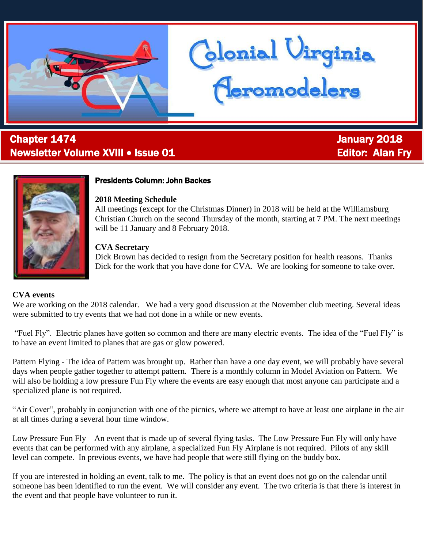

# l **Chapter 1474 Chapter 1474 January 2018** Newsletter Volume XVIII • Issue 01 Editor: Alan Fry



## Presidents Column: John Backes

#### **2018 Meeting Schedule**

All meetings (except for the Christmas Dinner) in 2018 will be held at the Williamsburg Christian Church on the second Thursday of the month, starting at 7 PM. The next meetings will be 11 January and 8 February 2018.

blonial Virginia<br>Ceromodelers

## **CVA Secretary**

Dick Brown has decided to resign from the Secretary position for health reasons. Thanks Dick for the work that you have done for CVA. We are looking for someone to take over.

## **CVA events**

We are working on the 2018 calendar. We had a very good discussion at the November club meeting. Several ideas were submitted to try events that we had not done in a while or new events.

"Fuel Fly". Electric planes have gotten so common and there are many electric events. The idea of the "Fuel Fly" is to have an event limited to planes that are gas or glow powered.

Pattern Flying - The idea of Pattern was brought up. Rather than have a one day event, we will probably have several days when people gather together to attempt pattern. There is a monthly column in Model Aviation on Pattern. We will also be holding a low pressure Fun Fly where the events are easy enough that most anyone can participate and a specialized plane is not required.

"Air Cover", probably in conjunction with one of the picnics, where we attempt to have at least one airplane in the air at all times during a several hour time window.

Low Pressure Fun Fly – An event that is made up of several flying tasks. The Low Pressure Fun Fly will only have events that can be performed with any airplane, a specialized Fun Fly Airplane is not required. Pilots of any skill level can compete. In previous events, we have had people that were still flying on the buddy box.

If you are interested in holding an event, talk to me. The policy is that an event does not go on the calendar until someone has been identified to run the event. We will consider any event. The two criteria is that there is interest in the event and that people have volunteer to run it.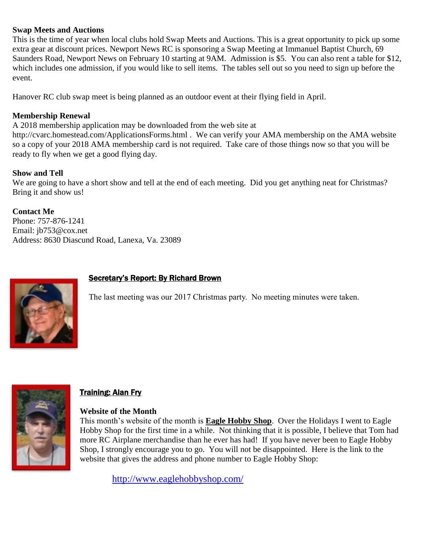#### **Swap Meets and Auctions**

This is the time of year when local clubs hold Swap Meets and Auctions. This is a great opportunity to pick up some extra gear at discount prices. Newport News RC is sponsoring a Swap Meeting at Immanuel Baptist Church, 69 Saunders Road, Newport News on February 10 starting at 9AM. Admission is \$5. You can also rent a table for \$12, which includes one admission, if you would like to sell items. The tables sell out so you need to sign up before the event.

Hanover RC club swap meet is being planned as an outdoor event at their flying field in April.

## **Membership Renewal**

A 2018 membership application may be downloaded from the web site at

<http://cvarc.homestead.com/ApplicationsForms.html> . We can verify your AMA membership on the AMA website so a copy of your 2018 AMA membership card is not required. Take care of those things now so that you will be ready to fly when we get a good flying day.

#### **Show and Tell**

We are going to have a short show and tell at the end of each meeting. Did you get anything neat for Christmas? Bring it and show us!

**Contact Me** Phone: 757-876-1241 Email: [jb753@cox.net](mailto:jb753@cox.net) Address: 8630 Diascund Road, Lanexa, Va. 23089



## **Secretary's Report: By Richard Brown**

The last meeting was our 2017 Christmas party. No meeting minutes were taken.



## **Training: Alan Fry**

#### **Website of the Month**

This month's website of the month is **Eagle Hobby Shop**. Over the Holidays I went to Eagle Hobby Shop for the first time in a while. Not thinking that it is possible, I believe that Tom had more RC Airplane merchandise than he ever has had! If you have never been to Eagle Hobby Shop, I strongly encourage you to go. You will not be disappointed. Here is the link to the website that gives the address and phone number to Eagle Hobby Shop:

<http://www.eaglehobbyshop.com/>